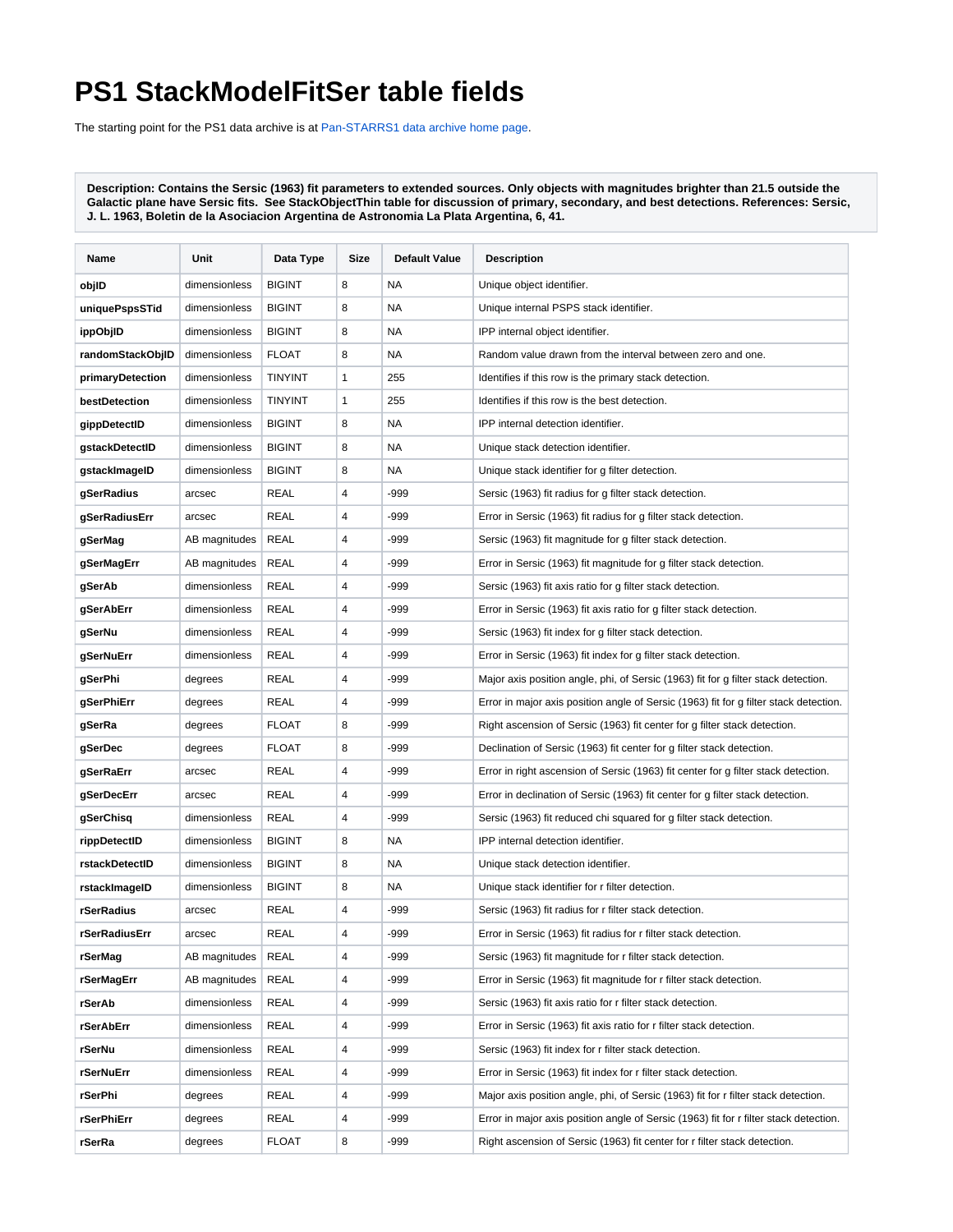## **PS1 StackModelFitSer table fields**

The starting point for the PS1 data archive is at [Pan-STARRS1 data archive home page](https://outerspace.stsci.edu/display/PANSTARRS/Pan-STARRS1+data+archive+home+page).

**Description: Contains the Sersic (1963) fit parameters to extended sources. Only objects with magnitudes brighter than 21.5 outside the Galactic plane have Sersic fits. See StackObjectThin table for discussion of primary, secondary, and best detections. References: Sersic, J. L. 1963, Boletin de la Asociacion Argentina de Astronomia La Plata Argentina, 6, 41.**

| Name             | Unit          | Data Type      | Size | <b>Default Value</b> | <b>Description</b>                                                                    |
|------------------|---------------|----------------|------|----------------------|---------------------------------------------------------------------------------------|
| objlD            | dimensionless | <b>BIGINT</b>  | 8    | <b>NA</b>            | Unique object identifier.                                                             |
| uniquePspsSTid   | dimensionless | <b>BIGINT</b>  | 8    | <b>NA</b>            | Unique internal PSPS stack identifier.                                                |
| ippObjlD         | dimensionless | <b>BIGINT</b>  | 8    | <b>NA</b>            | IPP internal object identifier.                                                       |
| randomStackObjID | dimensionless | <b>FLOAT</b>   | 8    | <b>NA</b>            | Random value drawn from the interval between zero and one.                            |
| primaryDetection | dimensionless | <b>TINYINT</b> | 1    | 255                  | Identifies if this row is the primary stack detection.                                |
| bestDetection    | dimensionless | <b>TINYINT</b> | 1    | 255                  | Identifies if this row is the best detection.                                         |
| gippDetectID     | dimensionless | <b>BIGINT</b>  | 8    | NA                   | IPP internal detection identifier.                                                    |
| gstackDetectID   | dimensionless | <b>BIGINT</b>  | 8    | <b>NA</b>            | Unique stack detection identifier.                                                    |
| gstackImageID    | dimensionless | <b>BIGINT</b>  | 8    | NA.                  | Unique stack identifier for g filter detection.                                       |
| gSerRadius       | arcsec        | <b>REAL</b>    | 4    | -999                 | Sersic (1963) fit radius for g filter stack detection.                                |
| gSerRadiusErr    | arcsec        | <b>REAL</b>    | 4    | $-999$               | Error in Sersic (1963) fit radius for g filter stack detection.                       |
| gSerMag          | AB magnitudes | <b>REAL</b>    | 4    | -999                 | Sersic (1963) fit magnitude for g filter stack detection.                             |
| gSerMagErr       | AB magnitudes | REAL           | 4    | -999                 | Error in Sersic (1963) fit magnitude for g filter stack detection.                    |
| gSerAb           | dimensionless | REAL           | 4    | -999                 | Sersic (1963) fit axis ratio for g filter stack detection.                            |
| gSerAbErr        | dimensionless | REAL           | 4    | -999                 | Error in Sersic (1963) fit axis ratio for g filter stack detection.                   |
| gSerNu           | dimensionless | <b>REAL</b>    | 4    | -999                 | Sersic (1963) fit index for g filter stack detection.                                 |
| gSerNuErr        | dimensionless | <b>REAL</b>    | 4    | -999                 | Error in Sersic (1963) fit index for g filter stack detection.                        |
| gSerPhi          | degrees       | REAL           | 4    | -999                 | Major axis position angle, phi, of Sersic (1963) fit for g filter stack detection.    |
| gSerPhiErr       | degrees       | <b>REAL</b>    | 4    | -999                 | Error in major axis position angle of Sersic (1963) fit for g filter stack detection. |
| gSerRa           | degrees       | <b>FLOAT</b>   | 8    | -999                 | Right ascension of Sersic (1963) fit center for g filter stack detection.             |
| gSerDec          | degrees       | <b>FLOAT</b>   | 8    | -999                 | Declination of Sersic (1963) fit center for g filter stack detection.                 |
| gSerRaErr        | arcsec        | <b>REAL</b>    | 4    | -999                 | Error in right ascension of Sersic (1963) fit center for g filter stack detection.    |
| gSerDecErr       | arcsec        | REAL           | 4    | -999                 | Error in declination of Sersic (1963) fit center for g filter stack detection.        |
| gSerChisq        | dimensionless | <b>REAL</b>    | 4    | -999                 | Sersic (1963) fit reduced chi squared for g filter stack detection.                   |
| rippDetectID     | dimensionless | <b>BIGINT</b>  | 8    | <b>NA</b>            | IPP internal detection identifier.                                                    |
| rstackDetectID   | dimensionless | <b>BIGINT</b>  | 8    | <b>NA</b>            | Unique stack detection identifier.                                                    |
| rstackImageID    | dimensionless | <b>BIGINT</b>  | 8    | <b>NA</b>            | Unique stack identifier for r filter detection.                                       |
| rSerRadius       | arcsec        | <b>REAL</b>    | 4    | $-999$               | Sersic (1963) fit radius for r filter stack detection.                                |
| rSerRadiusErr    | arcsec        | <b>REAL</b>    | 4    | $-999$               | Error in Sersic (1963) fit radius for r filter stack detection.                       |
| rSerMag          | AB magnitudes | <b>REAL</b>    | 4    | $-999$               | Sersic (1963) fit magnitude for r filter stack detection.                             |
| rSerMagErr       | AB magnitudes | <b>REAL</b>    | 4    | $-999$               | Error in Sersic (1963) fit magnitude for r filter stack detection.                    |
| rSerAb           | dimensionless | REAL           | 4    | -999                 | Sersic (1963) fit axis ratio for r filter stack detection.                            |
| rSerAbErr        | dimensionless | REAL           | 4    | -999                 | Error in Sersic (1963) fit axis ratio for r filter stack detection.                   |
| rSerNu           | dimensionless | REAL           | 4    | -999                 | Sersic (1963) fit index for r filter stack detection.                                 |
| rSerNuErr        | dimensionless | REAL           | 4    | -999                 | Error in Sersic (1963) fit index for r filter stack detection.                        |
| rSerPhi          | degrees       | REAL           | 4    | -999                 | Major axis position angle, phi, of Sersic (1963) fit for r filter stack detection.    |
| rSerPhiErr       | degrees       | <b>REAL</b>    | 4    | -999                 | Error in major axis position angle of Sersic (1963) fit for r filter stack detection. |
| rSerRa           | degrees       | <b>FLOAT</b>   | 8    | -999                 | Right ascension of Sersic (1963) fit center for r filter stack detection.             |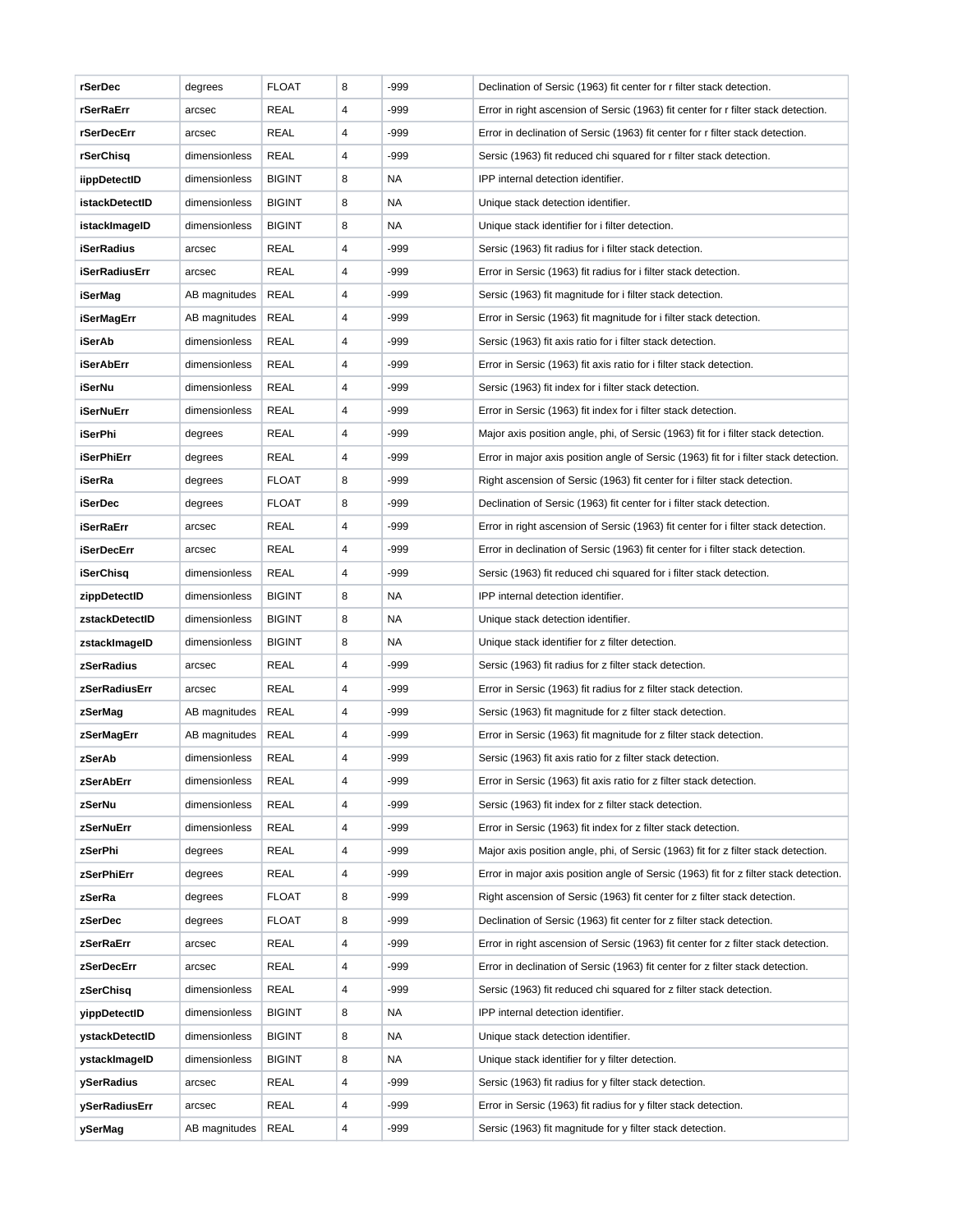| rSerDec           | degrees       | <b>FLOAT</b>  | 8 | -999      | Declination of Sersic (1963) fit center for r filter stack detection.                 |
|-------------------|---------------|---------------|---|-----------|---------------------------------------------------------------------------------------|
| rSerRaErr         | arcsec        | REAL          | 4 | -999      | Error in right ascension of Sersic (1963) fit center for r filter stack detection.    |
| rSerDecErr        | arcsec        | REAL          | 4 | -999      | Error in declination of Sersic (1963) fit center for r filter stack detection.        |
| rSerChisq         | dimensionless | REAL          | 4 | -999      | Sersic (1963) fit reduced chi squared for r filter stack detection.                   |
| iippDetectID      | dimensionless | <b>BIGINT</b> | 8 | <b>NA</b> | IPP internal detection identifier.                                                    |
| istackDetectID    | dimensionless | <b>BIGINT</b> | 8 | <b>NA</b> | Unique stack detection identifier.                                                    |
| istackImageID     | dimensionless | <b>BIGINT</b> | 8 | <b>NA</b> | Unique stack identifier for i filter detection.                                       |
| <b>iSerRadius</b> | arcsec        | <b>REAL</b>   | 4 | -999      | Sersic (1963) fit radius for i filter stack detection.                                |
| iSerRadiusErr     | arcsec        | REAL          | 4 | -999      | Error in Sersic (1963) fit radius for i filter stack detection.                       |
| iSerMag           | AB magnitudes | <b>REAL</b>   | 4 | -999      | Sersic (1963) fit magnitude for i filter stack detection.                             |
| iSerMagErr        | AB magnitudes | <b>REAL</b>   | 4 | -999      | Error in Sersic (1963) fit magnitude for i filter stack detection.                    |
| iSerAb            | dimensionless | <b>REAL</b>   | 4 | -999      | Sersic (1963) fit axis ratio for i filter stack detection.                            |
| iSerAbErr         | dimensionless | REAL          | 4 | -999      | Error in Sersic (1963) fit axis ratio for i filter stack detection.                   |
| iSerNu            | dimensionless | <b>REAL</b>   | 4 | -999      | Sersic (1963) fit index for i filter stack detection.                                 |
| <b>iSerNuErr</b>  | dimensionless | REAL          | 4 | -999      | Error in Sersic (1963) fit index for i filter stack detection.                        |
| <b>iSerPhi</b>    | degrees       | REAL          | 4 | -999      | Major axis position angle, phi, of Sersic (1963) fit for i filter stack detection.    |
| <b>iSerPhiErr</b> | degrees       | REAL          | 4 | -999      | Error in major axis position angle of Sersic (1963) fit for i filter stack detection. |
| iSerRa            | degrees       | <b>FLOAT</b>  | 8 | -999      | Right ascension of Sersic (1963) fit center for i filter stack detection.             |
| <b>iSerDec</b>    | degrees       | <b>FLOAT</b>  | 8 | -999      | Declination of Sersic (1963) fit center for i filter stack detection.                 |
| <b>iSerRaErr</b>  | arcsec        | <b>REAL</b>   | 4 | -999      | Error in right ascension of Sersic (1963) fit center for i filter stack detection.    |
| <b>iSerDecErr</b> | arcsec        | <b>REAL</b>   | 4 | -999      | Error in declination of Sersic (1963) fit center for i filter stack detection.        |
| iSerChisq         | dimensionless | <b>REAL</b>   | 4 | -999      | Sersic (1963) fit reduced chi squared for i filter stack detection.                   |
| zippDetectID      | dimensionless | <b>BIGINT</b> | 8 | <b>NA</b> | IPP internal detection identifier.                                                    |
| zstackDetectID    | dimensionless | <b>BIGINT</b> | 8 | <b>NA</b> | Unique stack detection identifier.                                                    |
| zstackImageID     | dimensionless | <b>BIGINT</b> | 8 | <b>NA</b> | Unique stack identifier for z filter detection.                                       |
| zSerRadius        | arcsec        | REAL          | 4 | -999      | Sersic (1963) fit radius for z filter stack detection.                                |
| zSerRadiusErr     | arcsec        | <b>REAL</b>   | 4 | -999      | Error in Sersic (1963) fit radius for z filter stack detection.                       |
| zSerMag           | AB magnitudes | REAL          | 4 | -999      | Sersic (1963) fit magnitude for z filter stack detection.                             |
| zSerMagErr        | AB magnitudes | <b>REAL</b>   | 4 | -999      | Error in Sersic (1963) fit magnitude for z filter stack detection.                    |
| zSerAb            | dimensionless | REAL          | 4 | -999      | Sersic (1963) fit axis ratio for z filter stack detection.                            |
| zSerAbErr         | dimensionless | <b>REAL</b>   | 4 | -999      | Error in Sersic (1963) fit axis ratio for z filter stack detection.                   |
| zSerNu            | dimensionless | <b>REAL</b>   | 4 | -999      | Sersic (1963) fit index for z filter stack detection.                                 |
| zSerNuErr         | dimensionless | <b>REAL</b>   | 4 | -999      | Error in Sersic (1963) fit index for z filter stack detection.                        |
| zSerPhi           | degrees       | REAL          | 4 | -999      | Major axis position angle, phi, of Sersic (1963) fit for z filter stack detection.    |
| zSerPhiErr        | degrees       | <b>REAL</b>   | 4 | -999      | Error in major axis position angle of Sersic (1963) fit for z filter stack detection. |
| zSerRa            | degrees       | <b>FLOAT</b>  | 8 | -999      | Right ascension of Sersic (1963) fit center for z filter stack detection.             |
| zSerDec           | degrees       | <b>FLOAT</b>  | 8 | -999      | Declination of Sersic (1963) fit center for z filter stack detection.                 |
| zSerRaErr         | arcsec        | <b>REAL</b>   | 4 | -999      | Error in right ascension of Sersic (1963) fit center for z filter stack detection.    |
| zSerDecErr        | arcsec        | <b>REAL</b>   | 4 | -999      | Error in declination of Sersic (1963) fit center for z filter stack detection.        |
| zSerChisq         | dimensionless | REAL          | 4 | -999      | Sersic (1963) fit reduced chi squared for z filter stack detection.                   |
| yippDetectID      | dimensionless | <b>BIGINT</b> | 8 | NA        | IPP internal detection identifier.                                                    |
| ystackDetectID    | dimensionless | <b>BIGINT</b> | 8 | NA        | Unique stack detection identifier.                                                    |
| ystackImageID     | dimensionless | <b>BIGINT</b> | 8 | <b>NA</b> | Unique stack identifier for y filter detection.                                       |
| ySerRadius        | arcsec        | REAL          | 4 | -999      | Sersic (1963) fit radius for y filter stack detection.                                |
| ySerRadiusErr     | arcsec        | <b>REAL</b>   | 4 | -999      | Error in Sersic (1963) fit radius for y filter stack detection.                       |
|                   |               |               |   |           |                                                                                       |